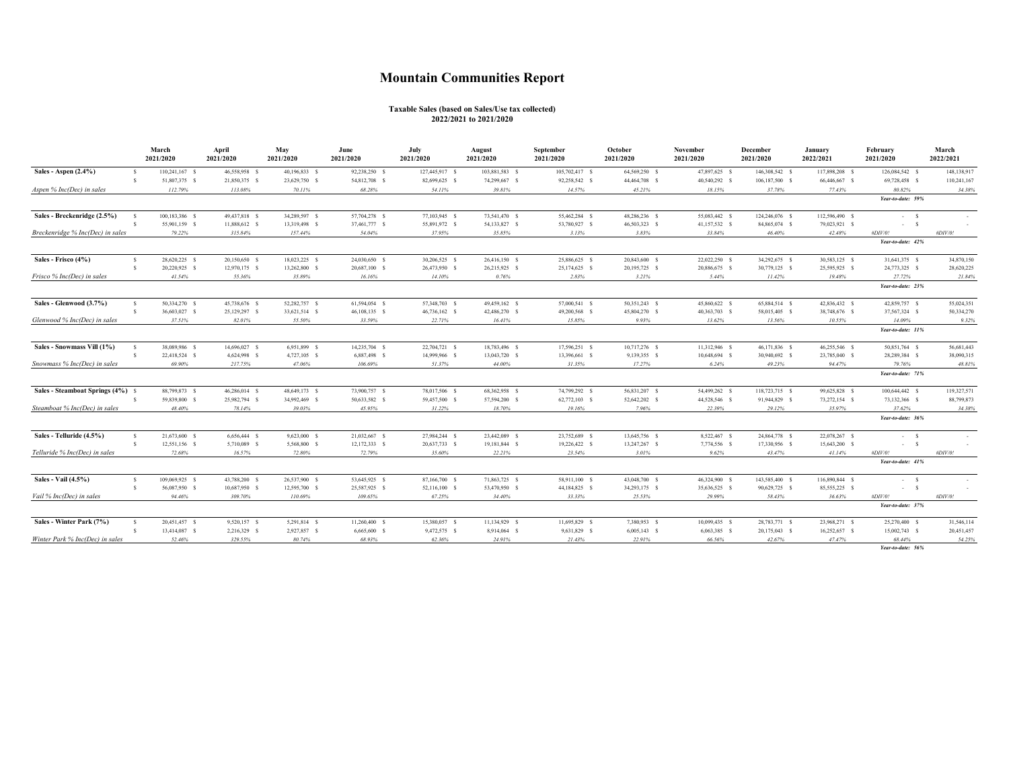## **Mountain Communities Report**

## **Taxable Sales (based on Sales/Use tax collected) 2022/2021 to 2021/2020**

|                                                                    |                    | March<br>2021/2020 | April<br>2021/2020 | May<br>2021/2020 | June<br>2021/2020 | July<br>2021/2020 | August<br>2021/2020 | September<br>2021/2020 | October<br>2021/2020 | November<br>2021/2020 | December<br>2021/2020 | January<br>2022/2021 | February<br>2021/2020        | March<br>2022/2021 |
|--------------------------------------------------------------------|--------------------|--------------------|--------------------|------------------|-------------------|-------------------|---------------------|------------------------|----------------------|-----------------------|-----------------------|----------------------|------------------------------|--------------------|
| Sales - Aspen $(2.4\%)$                                            | $\mathbf{s}$       | 110,241,167 \$     | 46,558,958 \$      | 40,196,833 \$    | 92,238,250 \$     | 127,445,917 \$    | 103,881,583 \$      | 105,702,417 \$         | 64,569,250 \$        | 47,897,625 \$         | 146,308,542 \$        | 117,898,208 \$       | 126,084,542 \$               | 148,138,917        |
|                                                                    | $\mathbf{s}$       | 51,807,375 \$      | 21,850,375 \$      | 23,629,750 \$    | 54,812,708 \$     | 82,699,625 \$     | 74,299,667 \$       | 92,258,542 \$          | 44,464,708 \$        | 40,540,292 S          | 106,187,500 \$        | 66,446,667 S         | 69,728,458 \$                | 110,241,167        |
| Aspen % Inc(Dec) in sales                                          |                    | 112.79%            | 113.08%            | 70.11%           | 68.28%            | 54.11%            | 39.81%              | 14.57%                 | 45.21%               | 18.15%                | 37.78%                | 77.43%               | 80.82%                       | 34.38%             |
|                                                                    |                    |                    |                    |                  |                   |                   |                     |                        |                      |                       |                       |                      | Year-to-date: 59%            |                    |
| Sales - Breckenridge (2.5%)                                        | $\hat{\mathbf{S}}$ | 100,183,386 \$     | 49,437,818 \$      | 34,289,597 \$    | 57,704,278 \$     | 77,103,945 \$     | 73,541,470 \$       | 55,462,284 S           | 48,286,236 \$        | 55,083,442 \$         | 124,246,076 S         | 112,596,490 \$       | $-5$                         |                    |
|                                                                    | $\mathbf{s}$       | 55,901,159 \$      | 11,888,612 \$      | 13,319,498 \$    | 37,461,777 \$     | 55,891,972 \$     | 54,133,827 \$       | 53,780,927 \$          | 46,503,323 \$        | 41,157,532 \$         | 84,865,074 \$         | 79,023,921 \$        | $-5$                         |                    |
| Breckenridge % Inc(Dec) in sales                                   |                    | 79.22%             | 315.84%            | 157.44%          | 54.04%            | 37.95%            | 35.85%              | 3.13%                  | 3.83%                | 33.84%                | 46.40%                | 42.48%               | #DIV/0!<br>Year-to-date: 42% | #DIV/0!            |
| Sales - Frisco (4%)                                                | $\mathbf{s}$       | 28.620.225 \$      | 20.150,650 S       | 18.023.225 \$    | 24.030,650 S      | 30,206,525 S      | 26,416,150 \$       | 25,886,625 \$          | 20,843,600 \$        | 22.022.250 S          | 34.292.675 S          | 30.583,125 S         | 31,641,375 \$                | 34,870,150         |
|                                                                    | $\mathbf{s}$       | 20,220,925 \$      | 12,970,175 \$      | 13,262,800 \$    | 20,687,100 \$     | 26,473,950 \$     | 26,215,925 \$       | 25,174,625 S           | 20,195,725 \$        | 20,886,675 \$         | 30,779,125 \$         | 25,595,925 \$        | 24,773,325 \$                | 28,620,225         |
| Frisco % Inc(Dec) in sales                                         |                    | 41.54%             | 55.36%             | 35.89%           | 16.16%            | 14.10%            | 0.76%               | 2.83%                  | 3.21%                | 5.44%                 | 11.42%                | 19.48%               | 27.72%                       | 21.84%             |
|                                                                    |                    |                    |                    |                  |                   |                   |                     |                        |                      |                       |                       |                      | Year-to-date: 23%            |                    |
| Sales - Glenwood (3.7%)                                            | -S                 | 50,334,270 \$      | 45,738,676 S       | 52.282.757 S     | 61,594,054 S      | 57,348,703 S      | 49,459,162 \$       | 57,000,541 S           | 50.351.243 S         | 45,860,622 S          | 65,884,514 S          | 42,836,432 S         | 42,859,757 S                 | 55.024.351         |
|                                                                    | $\mathbf{\hat{x}}$ | 36,603,027 \$      | 25,129,297 \$      | 33,621,514 \$    | 46,108,135 \$     | 46,736,162 \$     | 42,486,270 \$       | 49,200,568 S           | 45,804,270 \$        | 40,363,703 \$         | 58,015,405 \$         | 38,748,676 \$        | 37,567,324 \$                | 50,334,270         |
| Glenwood % Inc(Dec) in sales                                       |                    | 37.51%             | 82.01%             | 55.50%           | 33.59%            | 22.71%            | 16.41%              | 15.85%                 | 9.93%                | 13.62%                | 13.56%                | 10.55%               | 14.09%                       | 9.32%              |
|                                                                    |                    |                    |                    |                  |                   |                   |                     |                        |                      |                       |                       |                      | Year-to-date: 11%            |                    |
| Sales - Snowmass Vill (1%)                                         | - S                | 38,089,986 \$      | 14,696,027 \$      | 6,951,899 \$     | 14,235,704 \$     | 22,704,721 \$     | 18,783,496 \$       | 17,596,251 S           | 10,717,276 \$        | 11,312,946 \$         | 46,171,836 S          | 46,255,546 S         | 50,851,764 \$                | 56,681,443         |
|                                                                    | $\mathbf{s}$       | 22,418,524 \$      | 4,624,998 \$       | 4,727,105 \$     | 6,887,498 \$      | 14,999,966 \$     | 13,043,720 \$       | 13,396,661 S           | 9,139,355 \$         | 10,648,694 \$         | 30,940,692 \$         | 23,785,040 \$        | 28,289,384 \$                | 38,090,315         |
| Snowmass % Inc(Dec) in sales                                       |                    | 69.90%             | 217.75%            | 47.06%           | 106.69%           | 51.37%            | 44.00%              | 31.35%                 | 17.27%               | 6.24%                 | 49.23%                | 94.47%               | 79.76%<br>Year-to-date: 71%  | 48.81%             |
| Sales - Steamboat Springs (4%) \$<br>Steamboat % Inc(Dec) in sales |                    | 88,799,873 \$      | 46,286,014 \$      | 48,649,173 \$    | 73,900,757 \$     | 78,017,506 \$     | 68,362,958 \$       | 74,799,292 S           | 56,831,207 \$        | 54,499,262 \$         | 118,723,715 S         | 99,625,828 \$        | 100,644,442 \$               | 119,327,571        |
|                                                                    | -S                 | 59,839,800 \$      | 25,982,794 \$      | 34,992,469 \$    | 50,633,582 \$     | 59,457,500 \$     | 57,594,200 \$       | 62,772,103 \$          | 52,642,202 \$        | 44,528,546 \$         | 91,944,829 \$         | 73,272,154 \$        | 73,132,366 \$                | 88,799,873         |
|                                                                    |                    | 48.40%             | 78.14%             | 39.03%           | 45.95%            | 31.22%            | 18.70%              | 19.16%                 | 7.96%                | 22.39%                | 29.12%                | 35.97%               | 37.62%                       | 34.38%             |
|                                                                    |                    |                    |                    |                  |                   |                   |                     |                        |                      |                       |                       |                      | Year-to-date: 36%            |                    |
| Sales - Telluride (4.5%)                                           | - S                | 21,673,600 \$      | 6,656,444 \$       | 9,623,000 \$     | 21,032,667 \$     | 27,984,244 \$     | 23,442,089 \$       | 23,752,689 \$          | 13,645,756 \$        | 8,522,467 \$          | 24,864,778 S          | 22,078,267 \$        | $-5$                         |                    |
|                                                                    | $\mathbf{s}$       | 12,551,156 \$      | 5,710,089 \$       | 5,568,800 \$     | 12,172,333 \$     | 20,637,733 \$     | 19,181,844 \$       | 19,226,422 \$          | 13,247,267 \$        | 7,774,556 \$          | 17,330,956 S          | 15,643,200 \$        | $-5$                         |                    |
| Telluride % Inc(Dec) in sales                                      |                    | 72.68%             | 16.57%             | 72.80%           | 72.79%            | 35.60%            | 22.21%              | 23.54%                 | 3.01%                | 9.62%                 | 43.47%                | 41.14%               | $\#DIV/0!$                   | $\#DIV/0!$         |
|                                                                    |                    |                    |                    |                  |                   |                   |                     |                        |                      |                       |                       |                      | Year-to-date: 41%            |                    |
| Sales - Vail (4.5%)                                                | - S                | 109,069,925 \$     | 43,788,200 \$      | 26,537,900 \$    | 53,645,925 \$     | 87,166,700 \$     | 71,863,725 \$       | 58,911,100 \$          | 43,048,700 \$        | 46,324,900 \$         | 143,585,400 S         | 116,890,844 \$       | $-5$                         |                    |
|                                                                    | $\mathbf{s}$       | 56,087,950 \$      | 10,687,950 \$      | 12,595,700 \$    | 25,587,925 \$     | 52,116,100 \$     | 53,470,950 \$       | 44,184,825 \$          | 34,293,175 \$        | 35,636,525 S          | 90,629,725 \$         | 85,555,225 \$        | $-5$                         |                    |
| Vail % Inc(Dec) in sales                                           |                    | 94.46%             | 309.70%            | 110.69%          | 109.65%           | 67.25%            | 34.40%              | 33.33%                 | 25.53%               | 29.99%                | 58.43%                | 36.63%               | #DIV/0!<br>Year-to-date: 37% | #DIV/0!            |
|                                                                    |                    |                    |                    |                  |                   |                   |                     |                        |                      |                       |                       |                      |                              |                    |
| Sales - Winter Park (7%)                                           | s                  | 20,451,457 \$      | 9,520,157 \$       | 5,291,814 \$     | 11,260,400 \$     | 15,380,057 \$     | 11,134,929 \$       | 11,695,829 \$          | 7,380,953 \$         | 10,099,435 \$         | 28,783,771 \$         | 23,968,271 \$        | 25,270,400 \$                | 31,546,114         |
|                                                                    | $\hat{\mathbf{z}}$ | 13,414,087 \$      | 2,216,329 \$       | 2,927,857 \$     | 6,665,600 \$      | 9,472,575 \$      | 8,914,064 \$        | 9,631,829 S            | $6,005,143$ \$       | 6,063,385 S           | 20,175,043 \$         | 16,252,657 \$        | 15,002,743 \$                | 20,451,457         |
| Winter Park % Inc(Dec) in sales                                    |                    | 52.46%             | 329.55%            | 80.74%           | 68.93%            | 62.36%            | 24.91%              | 21.43%                 | 22.91%               | 66.56%                | 42.67%                | 47.47%               | 68.44%                       | 54.25%             |

*Year-to-date: 56%*